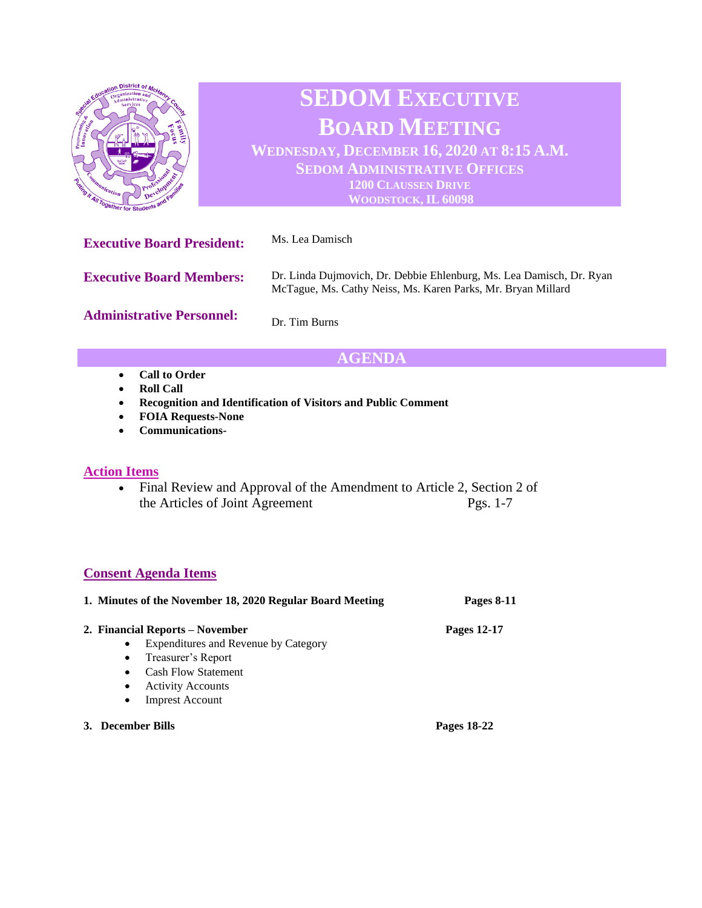

# **SEDOM EXECUTIVE BOARD MEETING**

**WEDNESDAY, DECEMBER 16, 2020 AT 8:15 A.M. SEDOM ADMINISTRATIVE OFFICES 1200 CLAUSSEN DRIVE WOODSTOCK, IL 60098**

**Executive Board President:** Ms. Lea Damisch **Executive Board Members: Administrative Personnel:** Dr. Linda Dujmovich, Dr. Debbie Ehlenburg, Ms. Lea Damisch, Dr. Ryan McTague, Ms. Cathy Neiss, Ms. Karen Parks, Mr. Bryan Millard Dr. Tim Burns

# **AGENDA**

- **Call to Order**
- **Roll Call**
- **Recognition and Identification of Visitors and Public Comment**
- **FOIA Requests-None**
- **Communications-**

#### **Action Items**

• Final Review and Approval of the Amendment to Article 2, Section 2 of the Articles of Joint Agreement Pgs. 1-7

## **Consent Agenda Items**

|                   | 1. Minutes of the November 18, 2020 Regular Board Meeting | Pages 8-11  |
|-------------------|-----------------------------------------------------------|-------------|
|                   | 2. Financial Reports – November                           | Pages 12-17 |
|                   | Expenditures and Revenue by Category<br>$\bullet$         |             |
|                   | Treasurer's Report<br>$\bullet$                           |             |
|                   | <b>Cash Flow Statement</b><br>$\bullet$                   |             |
|                   | <b>Activity Accounts</b><br>$\bullet$                     |             |
|                   | <b>Imprest Account</b><br>$\bullet$                       |             |
| 3. December Bills |                                                           | Pages 18-22 |